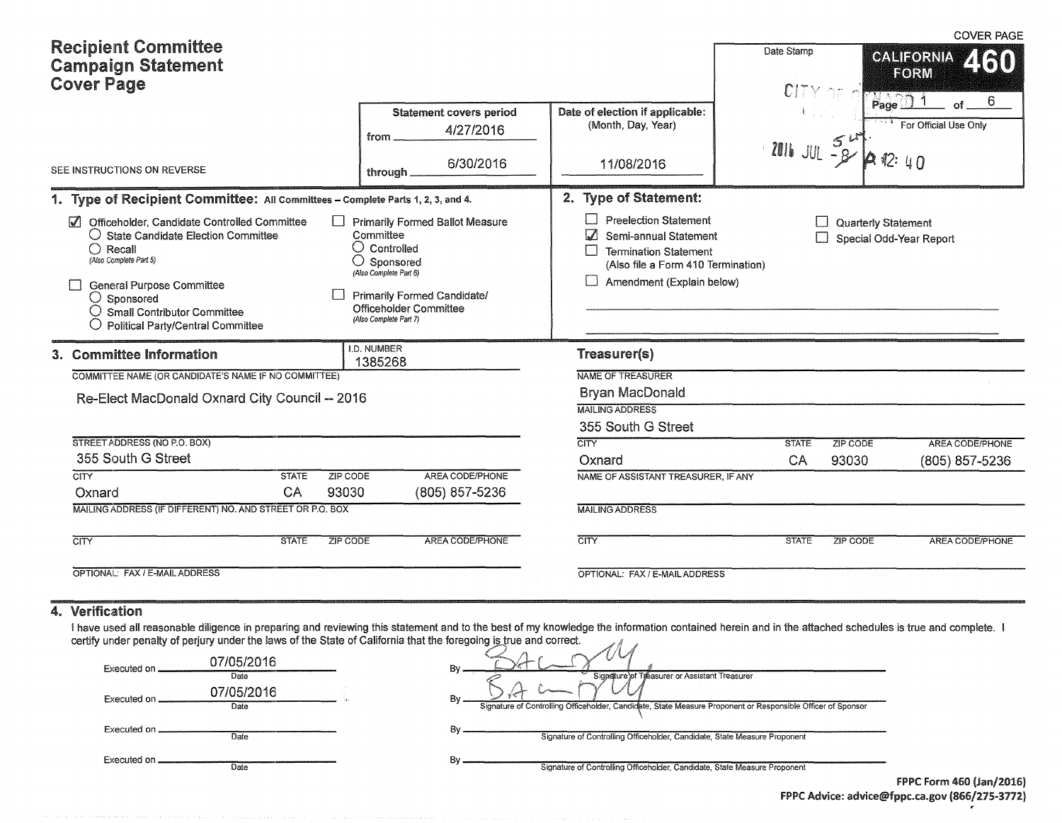|                                                                                                                                                                                                                                                                                                           |              |                    |                                                                                                                                                                                                               |                                                                                                                                                                                             |                 |                     | <b>COVER PAGE</b>                             |
|-----------------------------------------------------------------------------------------------------------------------------------------------------------------------------------------------------------------------------------------------------------------------------------------------------------|--------------|--------------------|---------------------------------------------------------------------------------------------------------------------------------------------------------------------------------------------------------------|---------------------------------------------------------------------------------------------------------------------------------------------------------------------------------------------|-----------------|---------------------|-----------------------------------------------|
| <b>Recipient Committee</b><br><b>Campaign Statement</b><br><b>Cover Page</b>                                                                                                                                                                                                                              |              |                    |                                                                                                                                                                                                               |                                                                                                                                                                                             | Date Stamp      | Page                | <b>CALIFORNIA</b><br><b>ATAN</b><br>FORM<br>6 |
|                                                                                                                                                                                                                                                                                                           |              |                    | <b>Statement covers period</b><br>4/27/2016<br>from                                                                                                                                                           | Date of election if applicable:<br>(Month, Day, Year)                                                                                                                                       |                 | 5                   | For Official Use Only                         |
| SEE INSTRUCTIONS ON REVERSE                                                                                                                                                                                                                                                                               |              |                    | 6/30/2016<br>through.                                                                                                                                                                                         | 11/08/2016                                                                                                                                                                                  | $2016$ JUL $-8$ |                     | 42:40                                         |
| 1. Type of Recipient Committee: All Committees - Complete Parts 1, 2, 3, and 4.                                                                                                                                                                                                                           |              |                    |                                                                                                                                                                                                               | 2. Type of Statement:                                                                                                                                                                       |                 |                     |                                               |
| Officeholder, Candidate Controlled Committee<br>$\triangledown$<br>$\bigcirc$ State Candidate Election Committee<br>$\bigcap$ Recall<br>(Also Complete Part 5)<br>General Purpose Committee<br>$\bigcirc$ Sponsored<br>$\bigcirc$ Small Contributor Committee<br><b>Political Party/Central Committee</b> |              | $\mathbf{1}$       | <b>Primarily Formed Ballot Measure</b><br>Committee<br>$\bigcirc$ Controlled<br>Sponsored<br>(Also Complete Part 6)<br><b>Primarily Formed Candidate/</b><br>Officeholder Committee<br>(Also Complete Part 7) | <b>Preelection Statement</b><br>$\mathsf{L}$<br>$\sqrt{ }$<br>Semi-annual Statement<br>П<br><b>Termination Statement</b><br>(Also file a Form 410 Termination)<br>Amendment (Explain below) |                 | Quarterly Statement | Special Odd-Year Report                       |
| 3. Committee Information                                                                                                                                                                                                                                                                                  |              | <b>I.D. NUMBER</b> | 1385268                                                                                                                                                                                                       | Treasurer(s)                                                                                                                                                                                |                 |                     |                                               |
| COMMITTEE NAME (OR CANDIDATE'S NAME IF NO COMMITTEE)                                                                                                                                                                                                                                                      |              |                    |                                                                                                                                                                                                               | NAME OF TREASURER                                                                                                                                                                           |                 |                     |                                               |
| Re-Elect MacDonald Oxnard City Council -- 2016                                                                                                                                                                                                                                                            |              |                    |                                                                                                                                                                                                               | <b>Bryan MacDonald</b>                                                                                                                                                                      |                 |                     |                                               |
|                                                                                                                                                                                                                                                                                                           |              |                    |                                                                                                                                                                                                               | <b>MAILING ADDRESS</b>                                                                                                                                                                      |                 |                     |                                               |
|                                                                                                                                                                                                                                                                                                           |              |                    |                                                                                                                                                                                                               | 355 South G Street                                                                                                                                                                          |                 |                     |                                               |
| STREET ADDRESS (NO P.O. BOX)                                                                                                                                                                                                                                                                              |              |                    |                                                                                                                                                                                                               | <b>CITY</b>                                                                                                                                                                                 | <b>STATE</b>    | ZIP CODE            | AREA CODE/PHONE                               |
| 355 South G Street                                                                                                                                                                                                                                                                                        |              |                    |                                                                                                                                                                                                               | Oxnard                                                                                                                                                                                      | CA              | 93030               | (805) 857-5236                                |
| $\overline{\text{CITY}}$                                                                                                                                                                                                                                                                                  | <b>STATE</b> | ZIP CODE           | AREA CODE/PHONE                                                                                                                                                                                               | NAME OF ASSISTANT TREASURER, IF ANY                                                                                                                                                         |                 |                     |                                               |
| Oxnard                                                                                                                                                                                                                                                                                                    | CA           | 93030              | (805) 857-5236                                                                                                                                                                                                |                                                                                                                                                                                             |                 |                     |                                               |
| MAILING ADDRESS (IF DIFFERENT) NO. AND STREET OR P.O. BOX                                                                                                                                                                                                                                                 |              |                    |                                                                                                                                                                                                               | <b>MAILING ADDRESS</b>                                                                                                                                                                      |                 |                     |                                               |
| $\overline{\text{CITY}}$                                                                                                                                                                                                                                                                                  | <b>STATE</b> | <b>ZIP CODE</b>    | AREA CODE/PHONE                                                                                                                                                                                               | CITY                                                                                                                                                                                        | <b>STATE</b>    | <b>ZIP CODE</b>     | <b>AREA CODE/PHONE</b>                        |
| OPTIONAL: FAX / E-MAIL ADDRESS                                                                                                                                                                                                                                                                            |              |                    |                                                                                                                                                                                                               | OPTIONAL: FAX / E-MAIL ADDRESS                                                                                                                                                              |                 |                     |                                               |

#### 4. Verification

I have used all reasonable diligence in preparing and reviewing this statement and to the best of my knowledge the information contained herein and in the attached schedules is true and complete. I  $\mathscr{A}$ 

|              |                    | certify under penalty of perjury under the laws of the State of California that the foregoing is true and correct. |                                 |
|--------------|--------------------|--------------------------------------------------------------------------------------------------------------------|---------------------------------|
| Executed on. | 07/05/2016<br>Date | Bv<br>Signature of Treasurer or Assistant Treasurer                                                                |                                 |
| Executed on  | 07/05/2016<br>Date | Bv<br>Signature of Controlling Officeholder, Candidate, State Measure Proponent or Responsible Officer of Sponsor  |                                 |
| Executed on  | Date               | Signature of Controlling Officeholder, Candidate, State Measure Proponent                                          |                                 |
| Executed on  | Date               | Bv<br>Signature of Controlling Officeholder, Candidate, State Measure Proponent                                    |                                 |
|              |                    |                                                                                                                    | <b>FPPC Form 460 (Jan/2016)</b> |

f PPC Advice: aclvice@fppc.ca.gov (866/215-3712)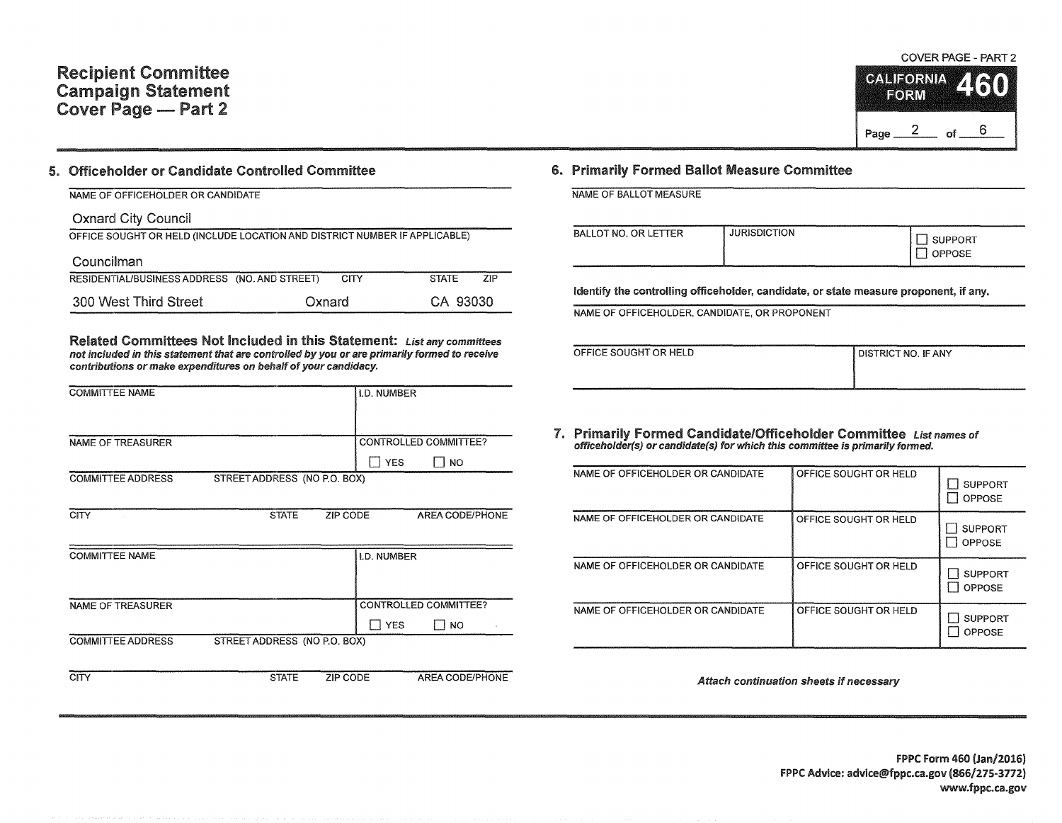## Recipient Committee Campaign Statement Cover Page - Part 2

#### 5. Officeholder or Candidate Controlled Committee

## NAME OF OFFICEHOLDER OR CANDIDATE

Oxnard City Council OFFICE SOUGHT OR HELD (INCLUDE LOCATION AND DISTRICT NUMBER IF APPLICABLE) Councilman RESIDENTIAUBUSINESSADDRESS (NO. AND STREET) CITY STATE ZIP 300 West Third Street Oxnard CA 93030

Related Committees Not Included in this Statement: List any committees not included in this statement that are controlled by you or are primarily formed to receive contributions or make expenditures on behalf of your candidacy.

| <b>COMMITTEE NAME</b>    |                              |                 | I.D. NUMBER |                       |  |
|--------------------------|------------------------------|-----------------|-------------|-----------------------|--|
|                          |                              |                 |             |                       |  |
|                          |                              |                 |             |                       |  |
|                          |                              |                 |             |                       |  |
| <b>NAME OF TREASURER</b> |                              |                 |             | CONTROLLED COMMITTEE? |  |
|                          |                              |                 | YES<br>-1   | NO.                   |  |
| <b>COMMITTEE ADDRESS</b> | STREET ADDRESS (NO P.O. BOX) |                 |             |                       |  |
|                          |                              |                 |             |                       |  |
| <b>CITY</b>              | <b>STATE</b>                 | <b>ZIP CODE</b> |             | AREA CODE/PHONE       |  |
|                          |                              |                 |             |                       |  |
|                          |                              |                 |             |                       |  |
| <b>COMMITTEE NAME</b>    |                              |                 | I.D. NUMBER |                       |  |
|                          |                              |                 |             |                       |  |
|                          |                              |                 |             |                       |  |
| <b>NAME OF TREASURER</b> |                              |                 |             | CONTROLLED COMMITTEE? |  |
|                          |                              |                 |             |                       |  |
|                          |                              |                 | <b>YES</b>  | <b>NO</b>             |  |
| <b>COMMITTEE ADDRESS</b> | STREET ADDRESS (NO P.O. BOX) |                 |             |                       |  |
|                          |                              |                 |             |                       |  |
|                          |                              |                 |             |                       |  |
| <b>CITY</b>              | <b>STATE</b>                 | ZIP CODE        |             | AREA CODE/PHONE       |  |

## 6. Primarily Formed Ballot Measure Committee

NAME OF BALLOT MEASURE

| <b>OPPOSE</b> | <b>BALLOT NO. OR LETTER</b> | <b>JURISDICTION</b> | <b>SUPPORT</b> |
|---------------|-----------------------------|---------------------|----------------|
|---------------|-----------------------------|---------------------|----------------|

Identify the controlling officeholder, candidate, or state measure proponent, if any.

NAME OF OFFICEHOLDER, CANDIDATE, OR PROPONENT

| 1001010101010101010101<br>OFFICE SOUGHT OR HELD | da da babarra da a agusta a agus no como como como como<br>I DISTRICT NO. IF ANY |
|-------------------------------------------------|----------------------------------------------------------------------------------|
|                                                 |                                                                                  |
|                                                 |                                                                                  |

7. Primarily Formed Candidate/Officeholder Committee List names of officeholder(s) or candidate(s) for which this committee is primarily formed.

| NAME OF OFFICEHOLDER OR CANDIDATE | OFFICE SOUGHT OR HELD | <b>SUPPORT</b><br>OPPOSE |
|-----------------------------------|-----------------------|--------------------------|
| NAME OF OFFICEHOLDER OR CANDIDATE | OFFICE SOUGHT OR HELD | <b>SUPPORT</b><br>OPPOSE |
| NAME OF OFFICEHOLDER OR CANDIDATE | OFFICE SOUGHT OR HELD | <b>SUPPORT</b><br>OPPOSE |
| NAME OF OFFICEHOLDER OR CANDIDATE | OFFICE SOUGHT OR HELD | <b>SUPPORT</b><br>OPPOSE |

Attach continuation sheets if necessary

#### FPPC Form 460 {Jan/2016) FPPC Advice: advice@fppc.ca.gov (866/275-3772) www.fppc.ca.gov

COVER PAGE - PART 2

 $\frac{2}{1}$  of  $\frac{2}{1}$ 

**CALIFORNIA** FORM

Page \_\_

6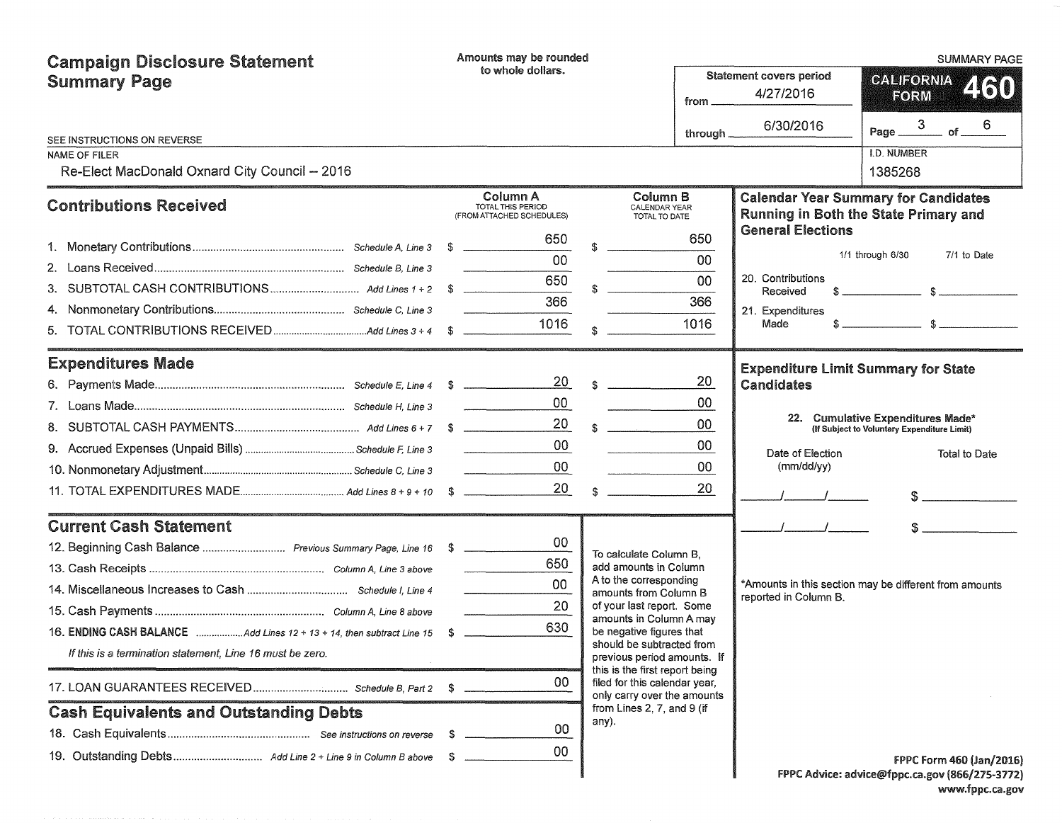| <b>Campaign Disclosure Statement</b>                      | Amounts may be rounded                                            |                 |                                                              |          |                                             | <b>SUMMARY PAGE</b>                                                                                                                                                                                                                                                                                                 |  |  |  |
|-----------------------------------------------------------|-------------------------------------------------------------------|-----------------|--------------------------------------------------------------|----------|---------------------------------------------|---------------------------------------------------------------------------------------------------------------------------------------------------------------------------------------------------------------------------------------------------------------------------------------------------------------------|--|--|--|
| <b>Summary Page</b>                                       | to whole dollars.                                                 |                 |                                                              | from.    | <b>Statement covers period</b><br>4/27/2016 | <b>CALIFORNIA</b><br>460<br>FORM                                                                                                                                                                                                                                                                                    |  |  |  |
|                                                           |                                                                   |                 |                                                              | through. | 6/30/2016                                   | Page $\frac{3}{\sqrt{6}}$ of 6                                                                                                                                                                                                                                                                                      |  |  |  |
| SEE INSTRUCTIONS ON REVERSE<br><b>NAME OF FILER</b>       |                                                                   |                 |                                                              |          |                                             | I.D. NUMBER                                                                                                                                                                                                                                                                                                         |  |  |  |
| Re-Elect MacDonald Oxnard City Council - 2016             |                                                                   |                 |                                                              |          |                                             | 1385268                                                                                                                                                                                                                                                                                                             |  |  |  |
| <b>Contributions Received</b>                             | Column A<br><b>TOTAL THIS PERIOD</b><br>(FROM ATTACHED SCHEDULES) |                 | Column B<br>CALENDAR YEAR<br>TOTAL TO DATE                   |          |                                             | <b>Calendar Year Summary for Candidates</b><br>Running in Both the State Primary and                                                                                                                                                                                                                                |  |  |  |
|                                                           |                                                                   | 650             |                                                              | 650      | <b>General Elections</b>                    |                                                                                                                                                                                                                                                                                                                     |  |  |  |
|                                                           |                                                                   | 0 <sup>0</sup>  |                                                              | 00       |                                             | 1/1 through 6/30<br>7/1 to Date                                                                                                                                                                                                                                                                                     |  |  |  |
|                                                           |                                                                   | 650             |                                                              | 00       | 20. Contributions                           |                                                                                                                                                                                                                                                                                                                     |  |  |  |
|                                                           |                                                                   | 366             |                                                              | 366      | Received                                    |                                                                                                                                                                                                                                                                                                                     |  |  |  |
|                                                           |                                                                   | 1016            |                                                              | 1016     | 21. Expenditures<br>Made                    | $\frac{1}{2}$ $\frac{1}{2}$ $\frac{1}{2}$ $\frac{1}{2}$ $\frac{1}{2}$ $\frac{1}{2}$ $\frac{1}{2}$ $\frac{1}{2}$ $\frac{1}{2}$ $\frac{1}{2}$ $\frac{1}{2}$ $\frac{1}{2}$ $\frac{1}{2}$ $\frac{1}{2}$ $\frac{1}{2}$ $\frac{1}{2}$ $\frac{1}{2}$ $\frac{1}{2}$ $\frac{1}{2}$ $\frac{1}{2}$ $\frac{1}{2}$ $\frac{1}{2}$ |  |  |  |
|                                                           |                                                                   |                 |                                                              |          |                                             |                                                                                                                                                                                                                                                                                                                     |  |  |  |
| <b>Expenditures Made</b>                                  |                                                                   |                 |                                                              |          | <b>Expenditure Limit Summary for State</b>  |                                                                                                                                                                                                                                                                                                                     |  |  |  |
|                                                           |                                                                   | 20              | $\sim$                                                       | 20       | <b>Candidates</b>                           |                                                                                                                                                                                                                                                                                                                     |  |  |  |
|                                                           |                                                                   | 00              |                                                              | 00       |                                             |                                                                                                                                                                                                                                                                                                                     |  |  |  |
|                                                           |                                                                   | 20              |                                                              | 00       |                                             | 22. Cumulative Expenditures Made*<br>(If Subject to Voluntary Expenditure Limit)                                                                                                                                                                                                                                    |  |  |  |
|                                                           |                                                                   | 00              |                                                              | 00       | Date of Election                            | <b>Total to Date</b>                                                                                                                                                                                                                                                                                                |  |  |  |
|                                                           |                                                                   | 00 <sub>o</sub> |                                                              | 00       | (mm/dd/yy)                                  |                                                                                                                                                                                                                                                                                                                     |  |  |  |
|                                                           |                                                                   | 20              | \$                                                           | 20       |                                             |                                                                                                                                                                                                                                                                                                                     |  |  |  |
| <b>Current Cash Statement</b>                             |                                                                   |                 |                                                              |          |                                             |                                                                                                                                                                                                                                                                                                                     |  |  |  |
|                                                           |                                                                   | 00              |                                                              |          |                                             |                                                                                                                                                                                                                                                                                                                     |  |  |  |
|                                                           |                                                                   | 650             | To calculate Column B.<br>add amounts in Column              |          |                                             |                                                                                                                                                                                                                                                                                                                     |  |  |  |
|                                                           |                                                                   | 00 <sup>1</sup> | A to the corresponding                                       |          |                                             | *Amounts in this section may be different from amounts                                                                                                                                                                                                                                                              |  |  |  |
|                                                           |                                                                   | 20              | amounts from Column B<br>of your last report. Some           |          | reported in Column B.                       |                                                                                                                                                                                                                                                                                                                     |  |  |  |
|                                                           |                                                                   | 630             | amounts in Column A may<br>be negative figures that          |          |                                             |                                                                                                                                                                                                                                                                                                                     |  |  |  |
| If this is a termination statement, Line 16 must be zero. |                                                                   |                 | should be subtracted from<br>previous period amounts. If     |          |                                             |                                                                                                                                                                                                                                                                                                                     |  |  |  |
|                                                           |                                                                   |                 | this is the first report being                               |          |                                             |                                                                                                                                                                                                                                                                                                                     |  |  |  |
|                                                           | S                                                                 | 00              | filed for this calendar year,<br>only carry over the amounts |          |                                             |                                                                                                                                                                                                                                                                                                                     |  |  |  |
| <b>Cash Equivalents and Outstanding Debts</b>             |                                                                   |                 | from Lines 2, 7, and 9 (if<br>any).                          |          |                                             |                                                                                                                                                                                                                                                                                                                     |  |  |  |
|                                                           | - 5                                                               | 00              |                                                              |          |                                             |                                                                                                                                                                                                                                                                                                                     |  |  |  |
|                                                           |                                                                   | 00              |                                                              |          |                                             | <b>FPPC Form 460 (Jan/2016)</b>                                                                                                                                                                                                                                                                                     |  |  |  |
|                                                           |                                                                   |                 |                                                              |          |                                             | FPPC Advice: advice@fppc.ca.gov (866/275-3772)                                                                                                                                                                                                                                                                      |  |  |  |

| www.fppc.ca.gov |  |
|-----------------|--|
|-----------------|--|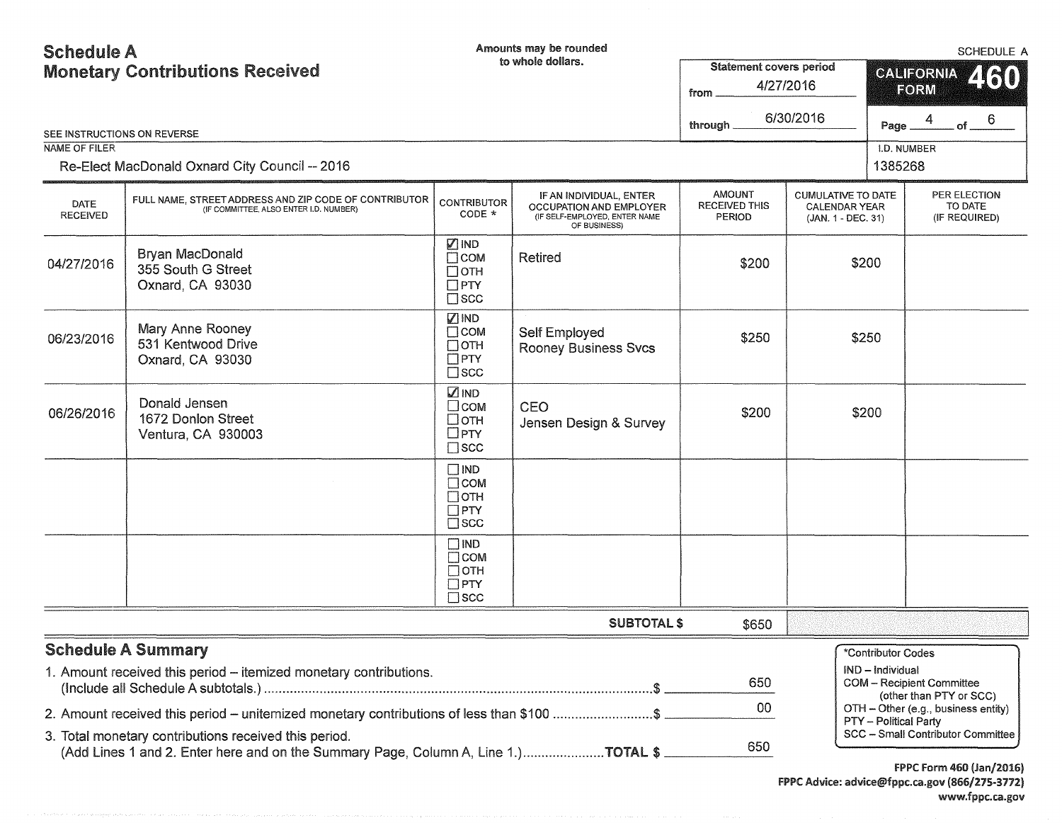# Schedule A Monetary Contributions Received

Amounts may be rounded

| OUIRUUR A                      | <b>Monetary Contributions Received</b>                                                                                                            |                                                                          | to whole dollars.                                                                                   | <b>Statement covers period</b><br>from .               | 4/27/2016<br>6/30/2016                                                  |                              | OUIILUULE M<br>460<br><b>CALIFORNIA</b><br>FORM                          |
|--------------------------------|---------------------------------------------------------------------------------------------------------------------------------------------------|--------------------------------------------------------------------------|-----------------------------------------------------------------------------------------------------|--------------------------------------------------------|-------------------------------------------------------------------------|------------------------------|--------------------------------------------------------------------------|
| SEE INSTRUCTIONS ON REVERSE    |                                                                                                                                                   |                                                                          |                                                                                                     | through.                                               |                                                                         | Page                         | . of $\rule{1em}{0.05mm}$                                                |
| <b>NAME OF FILER</b>           | Re-Elect MacDonald Oxnard City Council -- 2016                                                                                                    |                                                                          |                                                                                                     |                                                        |                                                                         | I.D. NUMBER<br>1385268       |                                                                          |
| <b>DATE</b><br><b>RECEIVED</b> | FULL NAME, STREET ADDRESS AND ZIP CODE OF CONTRIBUTOR<br>(IF COMMITTEE, ALSO ENTER I.D. NUMBER)                                                   | <b>CONTRIBUTOR</b><br>$CODE *$                                           | IF AN INDIVIDUAL, ENTER<br>OCCUPATION AND EMPLOYER<br>(IF SELF-EMPLOYED, ENTER NAME<br>OF BUSINESS) | <b>AMOUNT</b><br><b>RECEIVED THIS</b><br><b>PERIOD</b> | <b>CUMULATIVE TO DATE</b><br><b>CALENDAR YEAR</b><br>(JAN. 1 - DEC. 31) |                              | PER ELECTION<br>TO DATE<br>(IF REQUIRED)                                 |
| 04/27/2016                     | Bryan MacDonald<br>355 South G Street<br>Oxnard, CA 93030                                                                                         | <b>ZIND</b><br>$\Box$ COM<br>$\Box$ OTH<br>$\Box$ PTY<br>$\square$ scc   | Retired                                                                                             | \$200                                                  |                                                                         | \$200                        |                                                                          |
| 06/23/2016                     | Mary Anne Rooney<br>531 Kentwood Drive<br>Oxnard, CA 93030                                                                                        | √ IND<br>$\Box$ COM<br>$\Box$ OTH<br>$\Box$ PTY<br>$\Box$ scc            | Self Employed<br><b>Rooney Business Svcs</b>                                                        | \$250                                                  |                                                                         | \$250                        |                                                                          |
| 06/26/2016                     | Donald Jensen<br>1672 Donlon Street<br>Ventura, CA 930003                                                                                         | <b>ZIND</b><br>$\square$ COM<br>□отн<br>$\Box$ PTY<br>$\square$ scc      | CEO<br>Jensen Design & Survey                                                                       | \$200                                                  |                                                                         | \$200                        |                                                                          |
|                                |                                                                                                                                                   | $\square$ IND<br>$\Box$ COM<br>$\Box$ OTH<br>$\Box$ PTY<br>$\square$ scc |                                                                                                     |                                                        |                                                                         |                              |                                                                          |
|                                |                                                                                                                                                   | $\square$ IND<br>$\Box$ COM<br>$\Box$ OTH<br>$\Box$ PTY<br>$\Box$ scc    |                                                                                                     |                                                        |                                                                         |                              |                                                                          |
|                                |                                                                                                                                                   |                                                                          | <b>SUBTOTAL \$</b>                                                                                  | \$650                                                  |                                                                         |                              |                                                                          |
|                                | <b>Schedule A Summary</b><br>1. Amount received this period – itemized monetary contributions.                                                    | 650                                                                      |                                                                                                     | *Contributor Codes<br>IND - Individual                 | <b>COM</b> - Recipient Committee<br>(other than PTY or SCC)             |                              |                                                                          |
|                                | 2. Amount received this period – unitemized monetary contributions of less than \$100 \$<br>3. Total monetary contributions received this period. |                                                                          |                                                                                                     | 00                                                     |                                                                         | <b>PTY</b> - Political Party | OTH - Other (e.g., business entity)<br>SCC - Small Contributor Committee |
|                                | (Add Lines 1 and 2. Enter here and on the Summary Page, Column A, Line 1.)TOTAL \$                                                                |                                                                          |                                                                                                     | 650                                                    |                                                                         |                              | $FDRC$ $F_{num}$ $ACQ$ $(L_{num}$ $DQ$ $C$                               |

f PPC form 460 (Jan/2016) FPPC Advice: advice@fppc.ca.gov (866/275-3772) www.fppc.ca.gov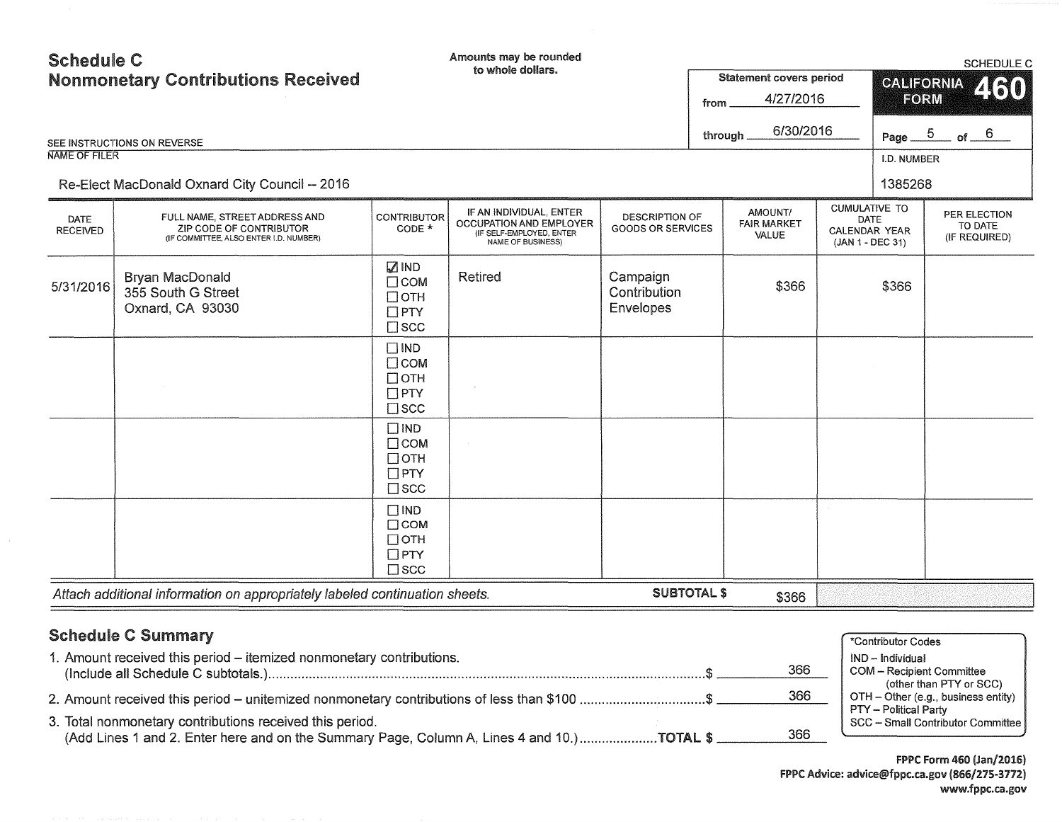| <b>Schedule C</b>              | <b>Nonmonetary Contributions Received</b>                                                          |                                                                        | Amounts may be rounded<br>to whole dollars.                                                         |                                                   | from    | <b>Statement covers period</b><br>4/27/2016 | CALIFORNIA<br><b>FORM</b>                                                       | <b>SCHEDULE C</b><br>460                                    |
|--------------------------------|----------------------------------------------------------------------------------------------------|------------------------------------------------------------------------|-----------------------------------------------------------------------------------------------------|---------------------------------------------------|---------|---------------------------------------------|---------------------------------------------------------------------------------|-------------------------------------------------------------|
| <b>NAME OF FILER</b>           | SEE INSTRUCTIONS ON REVERSE<br>Re-Elect MacDonald Oxnard City Council -- 2016                      |                                                                        |                                                                                                     |                                                   | through | 6/30/2016                                   | I.D. NUMBER<br>1385268                                                          | Page $5$ of $6$                                             |
| <b>DATE</b><br><b>RECEIVED</b> | FULL NAME, STREET ADDRESS AND<br>ZIP CODE OF CONTRIBUTOR<br>(IF COMMITTEE, ALSO ENTER I.D. NUMBER) | <b>CONTRIBUTOR</b><br>$CODE *$                                         | IF AN INDIVIDUAL, ENTER<br>OCCUPATION AND EMPLOYER<br>(IF SELF-EMPLOYED, ENTER<br>NAME OF BUSINESS) | <b>DESCRIPTION OF</b><br><b>GOODS OR SERVICES</b> |         | AMOUNT/<br><b>FAIR MARKET</b><br>VALUE      | <b>CUMULATIVE TO</b><br><b>DATE</b><br><b>CALENDAR YEAR</b><br>(JAN 1 - DEC 31) | PER ELECTION<br>TO DATE<br>(IF REQUIRED)                    |
| 5/31/2016                      | <b>Bryan MacDonald</b><br>355 South G Street<br>Oxnard, CA 93030                                   | <b>ZIND</b><br>$\Box$ COM<br>$\Box$ OTH<br>$\Box$ PTY<br>$\square$ scc | Retired                                                                                             | Campaign<br>Contribution<br><b>Envelopes</b>      |         | \$366                                       | \$366                                                                           |                                                             |
|                                |                                                                                                    | $\Box$ IND<br>$\Box$ COM<br>$\Box$ OTH<br>$\Box$ PTY<br>$\square$ scc  |                                                                                                     |                                                   |         |                                             |                                                                                 |                                                             |
|                                |                                                                                                    | $\Box$ IND<br>$\Box$ COM<br>$\Box$ OTH<br>$\Box$ PTY<br>$\square$ scc  |                                                                                                     |                                                   |         |                                             |                                                                                 |                                                             |
|                                |                                                                                                    | $\Box$ IND<br>$\Box$ COM<br>$\Box$ OTH<br>$\Box$ PTY<br>$\square$ scc  |                                                                                                     |                                                   |         |                                             |                                                                                 |                                                             |
|                                | Attach additional information on appropriately labeled continuation sheets.                        |                                                                        |                                                                                                     | <b>SUBTOTAL \$</b>                                |         | \$366                                       |                                                                                 |                                                             |
|                                | <b>Schedule C Summary</b><br>1. Amount received this period - itemized nonmonetary contributions.  |                                                                        |                                                                                                     |                                                   |         | 366                                         | *Contributor Codes<br>IND - Individual                                          | <b>COM</b> - Recipient Committee<br>(other than PTY or SCC) |

2. Amount received this period - unitemized nonmonetary contributions of iess than \$100 .................................. \$ 366 3. Total nonmonetary contributions received this period.<br>
(Add Lines 1 and 2 Enter here and on the Summary Page Column A Lines 4 and 10) **TOTAL \$** 366 366 366 366 366 366

(Add Lines 1 and 2. Enter here and on the Summary Page, Column A, Lines 4 and 10.) ........................... TOTAL  $$$ 

**FPPC Form 460 (Jan/2016)** FPPC Advice: advice@fppc.ca.gov (866/275-3772) www.fppc.ca.gov

PTY - Political Party

 $OTH - O$  ther (e.g., business entity)